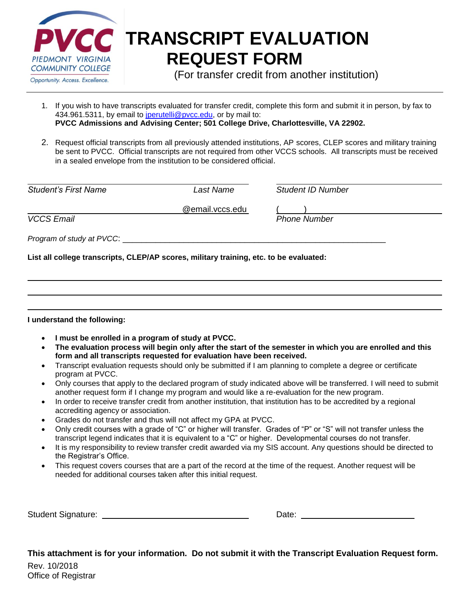

# **CC** TRANSCRIPT EVALUATION **REQUEST FORM**

(For transfer credit from another institution)

- 1. If you wish to have transcripts evaluated for transfer credit, complete this form and submit it in person, by fax to 434.961.5311, by email to *jperutelli@pvcc.edu*, or by mail to: **PVCC Admissions and Advising Center; 501 College Drive, Charlottesville, VA 22902.**
- 2. Request official transcripts from all previously attended institutions, AP scores, CLEP scores and military training be sent to PVCC. Official transcripts are not required from other VCCS schools. All transcripts must be received in a sealed envelope from the institution to be considered official.

| <b>Student's First Name</b> |  |
|-----------------------------|--|
|                             |  |

*Student's First Name Last Name Student ID Number*

@email.vccs.edu ( )

*VCCS Email Phone Number*

*Program of study at PVCC*:  $\blacksquare$ 

**List all college transcripts, CLEP/AP scores, military training, etc. to be evaluated:**

**I understand the following:**

- **I must be enrolled in a program of study at PVCC.**
- **The evaluation process will begin only after the start of the semester in which you are enrolled and this form and all transcripts requested for evaluation have been received.**
- Transcript evaluation requests should only be submitted if I am planning to complete a degree or certificate program at PVCC.
- Only courses that apply to the declared program of study indicated above will be transferred. I will need to submit another request form if I change my program and would like a re-evaluation for the new program.
- In order to receive transfer credit from another institution, that institution has to be accredited by a regional accrediting agency or association.
- Grades do not transfer and thus will not affect my GPA at PVCC.
- Only credit courses with a grade of "C" or higher will transfer. Grades of "P" or "S" will not transfer unless the transcript legend indicates that it is equivalent to a "C" or higher. Developmental courses do not transfer.
- It is my responsibility to review transfer credit awarded via my SIS account. Any questions should be directed to the Registrar's Office.
- This request covers courses that are a part of the record at the time of the request. Another request will be needed for additional courses taken after this initial request.

Student Signature: Notified the Student Signature: Note: Date: Date: Note: Note: Note: Note: Note: Note: Note: Note: Note: Note: Note: Note: Note: Note: Note: Note: Note: Note: Note: Note: Note: Note: Note: Note: Note: Not

Rev. 10/2018 Office of Registrar **This attachment is for your information. Do not submit it with the Transcript Evaluation Request form.**